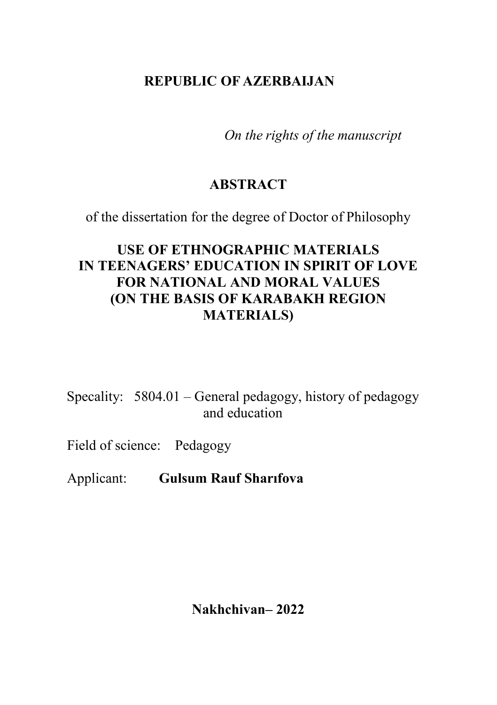# **REPUBLIC OF AZERBAIJAN**

*On the rights of the manuscript*

## **ABSTRACT**

of the dissertation for the degree of Doctor of Philosophy

# **USE OF ETHNOGRAPHIC MATERIALS IN TEENAGERS' EDUCATION IN SPIRIT OF LOVE FOR NATIONAL AND MORAL VALUES (ON THE BASIS OF KARABAKH REGION MATERIALS)**

Specality: 5804.01 – General pedagogy, history of pedagogy and education

Field of science: Pedagogy

Applicant: **Gulsum Rauf Sharıfova**

**Nakhchivan– 2022**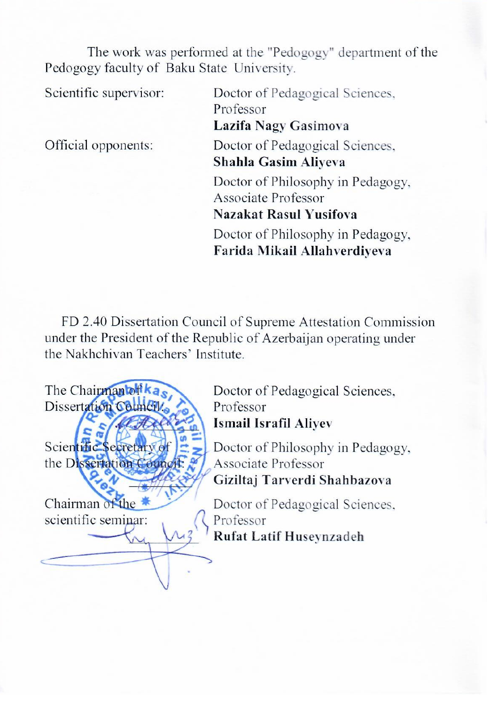The work was performed at the "Pedogogy" department of the Pedogogy faculty of Baku State University.

Official opponents:

Scientific supervisor: Doctor of Pedagogical Sciences. Scientific Supervisors<br>Legislation: Cooperation  $\frac{1}{2}$ Doctor of Pedagogical Sciences,<br>**Shahla Gasim Aliyeva** Official opponents: Doctor of Pedagogical Sciences, **Shahla Gashi**n Bed Associate Professor<br>**Nazakat Rasul Yusifova**  $\frac{1}{2}$ **Nazariya Kusiforman**<br>Washington Yusifova Farida Mikail Allahverdiyeva

FD 2.40 Dissertation Council of Supreme Attestation Commission under the President of the Republic of Azerbaijan operating under<br>the Nakhchivan Teachers' Institute. Commission under the President of the Republic of Azerbaijan

The Chairman of kases Doctor of Pedagogical Sciences, Dissertation Council Sciences Professor Ismail Israfil Alivev  $\frac{1}{2}$   $\frac{1}{2}$ Scientific Secretary of  $\left| \frac{2}{\pi} \right|$  Doctor of Philosophy in Pedagogy, the Dissertation Council:  $\frac{2}{\pi}$  Associate Professor Giziltaj Tarverdi Shahbazova  $\mathcal{F}$ 

Chairman of the Doctor of Pedagogical Sciences,<br>scientific seminar: (Professor Rufat Latif Huseynzadeh  $\overline{\mathcal{L}}$ 

Chairman of the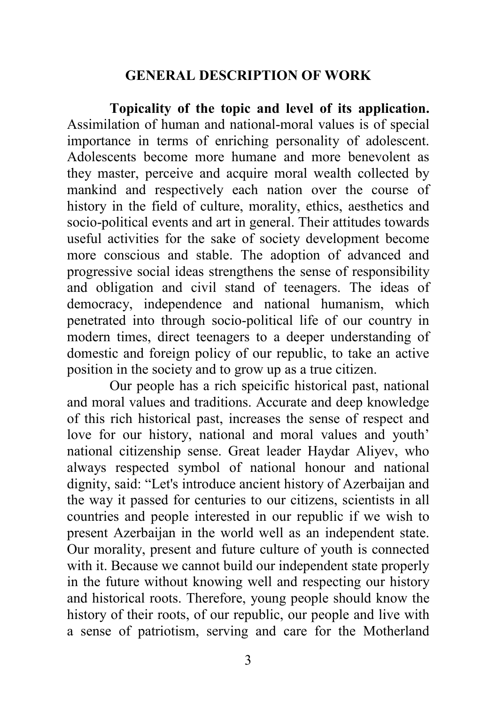### **GENERAL DESCRIPTION OF WORK**

**Topicality of the topic and level of its application.** Assimilation of human and national-moral values is of special importance in terms of enriching personality of adolescent. Adolescents become more humane and more benevolent as they master, perceive and acquire moral wealth collected by mankind and respectively each nation over the course of history in the field of culture, morality, ethics, aesthetics and socio-political events and art in general. Their attitudes towards useful activities for the sake of society development become more conscious and stable. The adoption of advanced and progressive social ideas strengthens the sense of responsibility and obligation and civil stand of teenagers. The ideas of democracy, independence and national humanism, which penetrated into through socio-political life of our country in modern times, direct teenagers to a deeper understanding of domestic and foreign policy of our republic, to take an active position in the society and to grow up as a true citizen.

Our people has a rich speicific historical past, national and moral values and traditions. Accurate and deep knowledge of this rich historical past, increases the sense of respect and love for our history, national and moral values and youth' national citizenship sense. Great leader Haydar Aliyev, who always respected symbol of national honour and national dignity, said: "Let's introduce ancient history of Azerbaijan and the way it passed for centuries to our citizens, scientists in all countries and people interested in our republic if we wish to present Azerbaijan in the world well as an independent state. Our morality, present and future culture of youth is connected with it. Because we cannot build our independent state properly in the future without knowing well and respecting our history and historical roots. Therefore, young people should know the history of their roots, of our republic, our people and live with a sense of patriotism, serving and care for the Motherland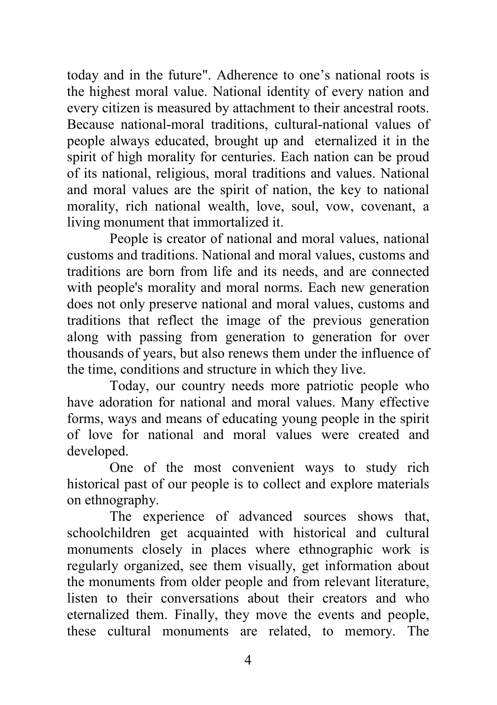today and in the future". Adherence to one's national roots is the highest moral value. National identity of every nation and every citizen is measured by attachment to their ancestral roots. Because national-moral traditions, cultural-national values of people always educated, brought up and eternalized it in the spirit of high morality for centuries. Each nation can be proud of its national, religious, moral traditions and values. National and moral values are the spirit of nation, the key to national morality, rich national wealth, love, soul, vow, covenant, a living monument that immortalized it.

People is creator of national and moral values, national customs and traditions. National and moral values, customs and traditions are born from life and its needs, and are connected with people's morality and moral norms. Each new generation does not only preserve national and moral values, customs and traditions that reflect the image of the previous generation along with passing from generation to generation for over thousands of years, but also renews them under the influence of the time, conditions and structure in which they live.

Today, our country needs more patriotic people who have adoration for national and moral values. Many effective forms, ways and means of educating young people in the spirit of love for national and moral values were created and developed.

One of the most convenient ways to study rich historical past of our people is to collect and explore materials on ethnography.

The experience of advanced sources shows that, schoolchildren get acquainted with historical and cultural monuments closely in places where ethnographic work is regularly organized, see them visually, get information about the monuments from older people and from relevant literature, listen to their conversations about their creators and who eternalized them. Finally, they move the events and people, these cultural monuments are related, to memory. The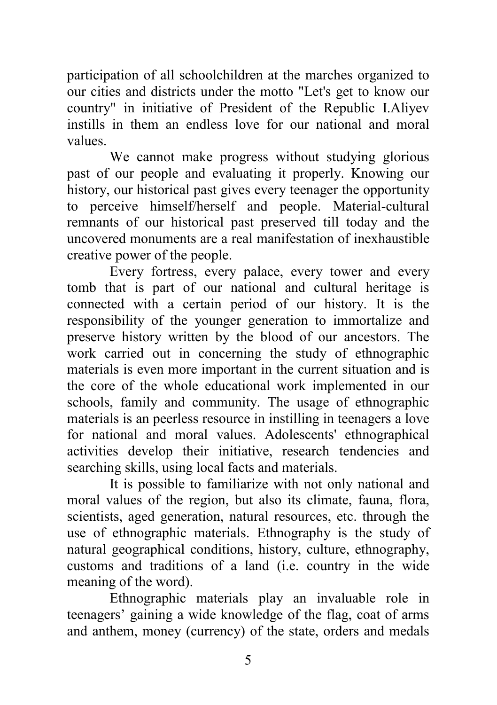participation of all schoolchildren at the marches organized to our cities and districts under the motto "Let's get to know our country" in initiative of President of the Republic I.Aliyev instills in them an endless love for our national and moral values.

We cannot make progress without studying glorious past of our people and evaluating it properly. Knowing our history, our historical past gives every teenager the opportunity to perceive himself/herself and people. Material-cultural remnants of our historical past preserved till today and the uncovered monuments are a real manifestation of inexhaustible creative power of the people.

Every fortress, every palace, every tower and every tomb that is part of our national and cultural heritage is connected with a certain period of our history. It is the responsibility of the younger generation to immortalize and preserve history written by the blood of our ancestors. The work carried out in concerning the study of ethnographic materials is even more important in the current situation and is the core of the whole educational work implemented in our schools, family and community. The usage of ethnographic materials is an peerless resource in instilling in teenagers a love for national and moral values. Adolescents' ethnographical activities develop their initiative, research tendencies and searching skills, using local facts and materials.

It is possible to familiarize with not only national and moral values of the region, but also its climate, fauna, flora, scientists, aged generation, natural resources, etc. through the use of ethnographic materials. Ethnography is the study of natural geographical conditions, history, culture, ethnography, customs and traditions of a land (i.e. country in the wide meaning of the word).

Ethnographic materials play an invaluable role in teenagers' gaining a wide knowledge of the flag, coat of arms and anthem, money (currency) of the state, orders and medals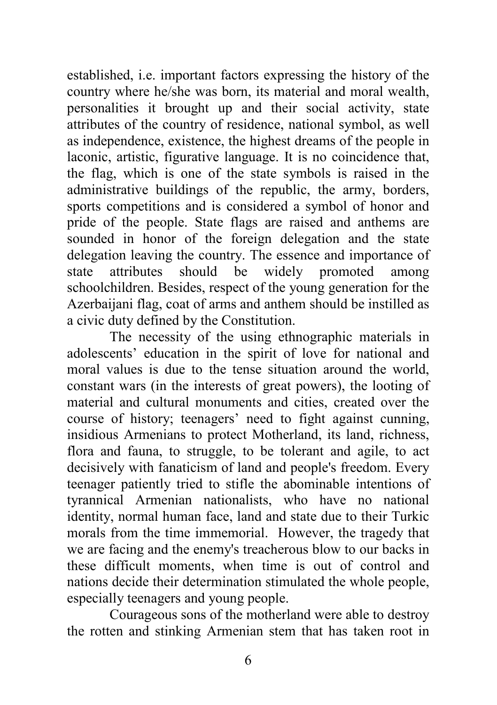established, i.e. important factors expressing the history of the country where he/she was born, its material and moral wealth, personalities it brought up and their social activity, state attributes of the country of residence, national symbol, as well as independence, existence, the highest dreams of the people in laconic, artistic, figurative language. It is no coincidence that, the flag, which is one of the state symbols is raised in the administrative buildings of the republic, the army, borders, sports competitions and is considered a symbol of honor and pride of the people. State flags are raised and anthems are sounded in honor of the foreign delegation and the state delegation leaving the country. The essence and importance of state attributes should be widely promoted among schoolchildren. Besides, respect of the young generation for the Azerbaijani flag, coat of arms and anthem should be instilled as a civic duty defined by the Constitution.

The necessity of the using ethnographic materials in adolescents' education in the spirit of love for national and moral values is due to the tense situation around the world, constant wars (in the interests of great powers), the looting of material and cultural monuments and cities, created over the course of history; teenagers' need to fight against cunning, insidious Armenians to protect Motherland, its land, richness, flora and fauna, to struggle, to be tolerant and agile, to act decisively with fanaticism of land and people's freedom. Every teenager patiently tried to stifle the abominable intentions of tyrannical Armenian nationalists, who have no national identity, normal human face, land and state due to their Turkic morals from the time immemorial. However, the tragedy that we are facing and the enemy's treacherous blow to our backs in these difficult moments, when time is out of control and nations decide their determination stimulated the whole people, especially teenagers and young people.

Courageous sons of the motherland were able to destroy the rotten and stinking Armenian stem that has taken root in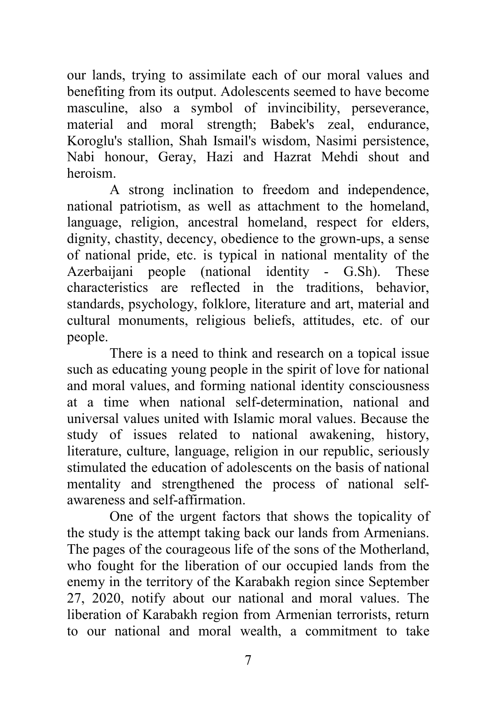our lands, trying to assimilate each of our moral values and benefiting from its output. Adolescents seemed to have become masculine, also a symbol of invincibility, perseverance, material and moral strength; Babek's zeal, endurance, Koroglu's stallion, Shah Ismail's wisdom, Nasimi persistence, Nabi honour, Geray, Hazi and Hazrat Mehdi shout and heroism.

A strong inclination to freedom and independence, national patriotism, as well as attachment to the homeland, language, religion, ancestral homeland, respect for elders, dignity, chastity, decency, obedience to the grown-ups, a sense of national pride, etc. is typical in national mentality of the Azerbaijani people (national identity - G.Sh). These characteristics are reflected in the traditions, behavior, standards, psychology, folklore, literature and art, material and cultural monuments, religious beliefs, attitudes, etc. of our people.

There is a need to think and research on a topical issue such as educating young people in the spirit of love for national and moral values, and forming national identity consciousness at a time when national self-determination, national and universal values united with Islamic moral values. Because the study of issues related to national awakening, history, literature, culture, language, religion in our republic, seriously stimulated the education of adolescents on the basis of national mentality and strengthened the process of national selfawareness and self-affirmation.

One of the urgent factors that shows the topicality of the study is the attempt taking back our lands from Armenians. The pages of the courageous life of the sons of the Motherland, who fought for the liberation of our occupied lands from the enemy in the territory of the Karabakh region since September 27, 2020, notify about our national and moral values. The liberation of Karabakh region from Armenian terrorists, return to our national and moral wealth, a commitment to take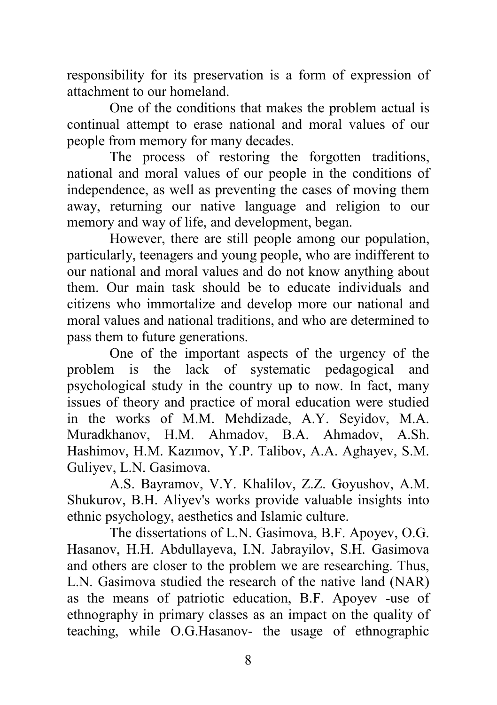responsibility for its preservation is a form of expression of attachment to our homeland.

One of the conditions that makes the problem actual is continual attempt to erase national and moral values of our people from memory for many decades.

The process of restoring the forgotten traditions, national and moral values of our people in the conditions of independence, as well as preventing the cases of moving them away, returning our native language and religion to our memory and way of life, and development, began.

However, there are still people among our population, particularly, teenagers and young people, who are indifferent to our national and moral values and do not know anything about them. Our main task should be to educate individuals and citizens who immortalize and develop more our national and moral values and national traditions, and who are determined to pass them to future generations.

One of the important aspects of the urgency of the problem is the lack of systematic pedagogical and psychological study in the country up to now. In fact, many issues of theory and practice of moral education were studied in the works of M.M. Mehdizade, A.Y. Seyidov, M.A. Muradkhanov, H.M. Ahmadov, B.A. Ahmadov, A.Sh. Hashimov, H.M. Kazımov, Y.P. Talibov, A.A. Aghayev, S.M. Guliyev, L.N. Gasimova.

A.S. Bayramov, V.Y. Khalilov, Z.Z. Goyushov, A.M. Shukurov, B.H. Aliyev's works provide valuable insights into ethnic psychology, aesthetics and Islamic culture.

The dissertations of L.N. Gasimova, B.F. Apoyev, O.G. Hasanov, H.H. Abdullayeva, I.N. Jabrayilov, S.H. Gasimova and others are closer to the problem we are researching. Thus, L.N. Gasimova studied the research of the native land (NAR) as the means of patriotic education, B.F. Apoyev -use of ethnography in primary classes as an impact on the quality of teaching, while O.G.Hasanov- the usage of ethnographic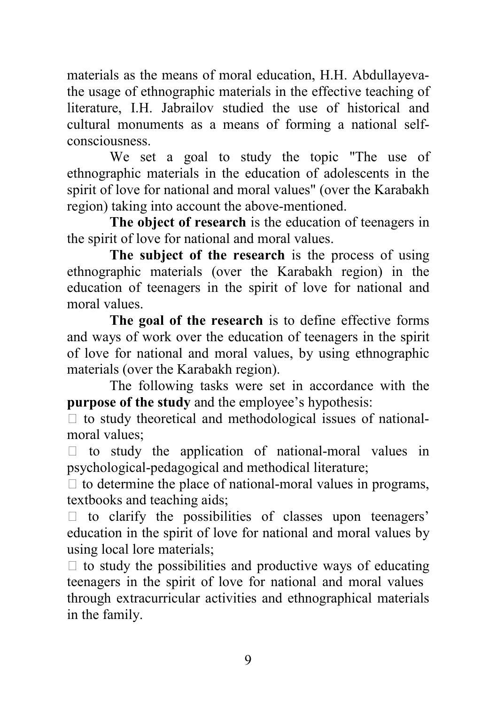materials as the means of moral education, H.H. Abdullayevathe usage of ethnographic materials in the effective teaching of literature, I.H. Jabrailov studied the use of historical and cultural monuments as a means of forming a national selfconsciousness.

We set a goal to study the topic "The use of ethnographic materials in the education of adolescents in the spirit of love for national and moral values" (over the Karabakh region) taking into account the above-mentioned.

**The object of research** is the education of teenagers in the spirit of love for national and moral values.

**The subject of the research** is the process of using ethnographic materials (over the Karabakh region) in the education of teenagers in the spirit of love for national and moral values.

**The goal of the research** is to define effective forms and ways of work over the education of teenagers in the spirit of love for national and moral values, by using ethnographic materials (over the Karabakh region).

The following tasks were set in accordance with the **purpose of the study** and the employee's hypothesis:

 $\Box$  to study theoretical and methodological issues of nationalmoral values;

 $\Box$  to study the application of national-moral values in psychological-pedagogical and methodical literature;

 $\Box$  to determine the place of national-moral values in programs, textbooks and teaching aids;

 $\Box$  to clarify the possibilities of classes upon teenagers' education in the spirit of love for national and moral values by using local lore materials;

 $\Box$  to study the possibilities and productive ways of educating teenagers in the spirit of love for national and moral values through extracurricular activities and ethnographical materials in the family.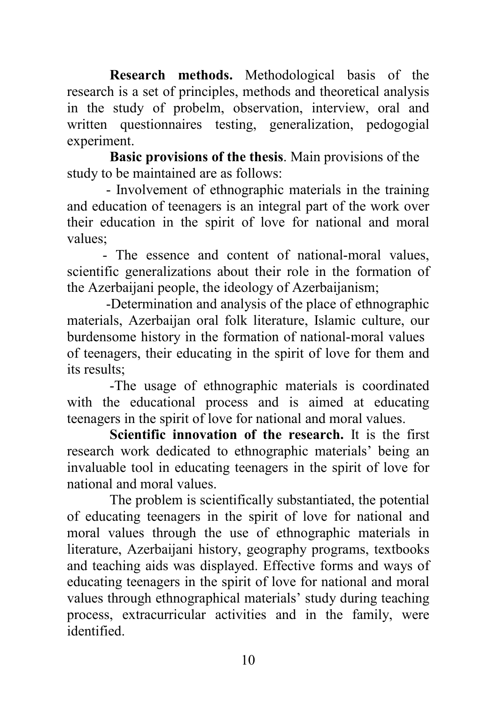**Research methods.** Methodological basis of the research is a set of principles, methods and theoretical analysis in the study of probelm, observation, interview, oral and written questionnaires testing, generalization, pedogogial experiment.

**Basic provisions of the thesis**. Main provisions of the study to be maintained are as follows:

 - Involvement of ethnographic materials in the training and education of teenagers is an integral part of the work over their education in the spirit of love for national and moral values;

 - The essence and content of national-moral values, scientific generalizations about their role in the formation of the Azerbaijani people, the ideology of Azerbaijanism;

 -Determination and analysis of the place of ethnographic materials, Azerbaijan oral folk literature, Islamic culture, our burdensome history in the formation of national-moral values of teenagers, their educating in the spirit of love for them and its results;

-The usage of ethnographic materials is coordinated with the educational process and is aimed at educating teenagers in the spirit of love for national and moral values.

**Scientific innovation of the research.** It is the first research work dedicated to ethnographic materials' being an invaluable tool in educating teenagers in the spirit of love for national and moral values.

The problem is scientifically substantiated, the potential of educating teenagers in the spirit of love for national and moral values through the use of ethnographic materials in literature, Azerbaijani history, geography programs, textbooks and teaching aids was displayed. Effective forms and ways of educating teenagers in the spirit of love for national and moral values through ethnographical materials' study during teaching process, extracurricular activities and in the family, were identified.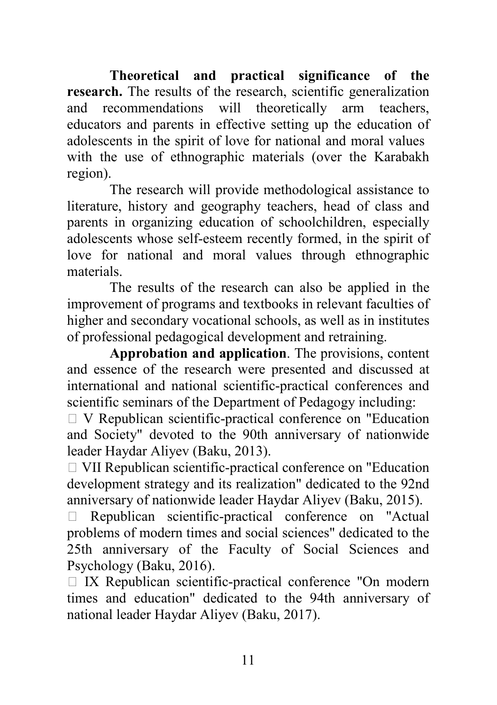**Theoretical and practical significance of the research.** The results of the research, scientific generalization and recommendations will theoretically arm teachers, educators and parents in effective setting up the education of adolescents in the spirit of love for national and moral values with the use of ethnographic materials (over the Karabakh region).

The research will provide methodological assistance to literature, history and geography teachers, head of class and parents in organizing education of schoolchildren, especially adolescents whose self-esteem recently formed, in the spirit of love for national and moral values through ethnographic materials.

The results of the research can also be applied in the improvement of programs and textbooks in relevant faculties of higher and secondary vocational schools, as well as in institutes of professional pedagogical development and retraining.

**Approbation and application**. The provisions, content and essence of the research were presented and discussed at international and national scientific-practical conferences and scientific seminars of the Department of Pedagogy including:

 $\Box$  V Republican scientific-practical conference on "Education" and Society" devoted to the 90th anniversary of nationwide leader Haydar Aliyev (Baku, 2013).

 VII Republican scientific-practical conference on "Education development strategy and its realization" dedicated to the 92nd anniversary of nationwide leader Haydar Aliyev (Baku, 2015).

 Republican scientific-practical conference on "Actual problems of modern times and social sciences" dedicated to the 25th anniversary of the Faculty of Social Sciences and Psychology (Baku, 2016).

 $\Box$  IX Republican scientific-practical conference "On modern times and education" dedicated to the 94th anniversary of national leader Haydar Aliyev (Baku, 2017).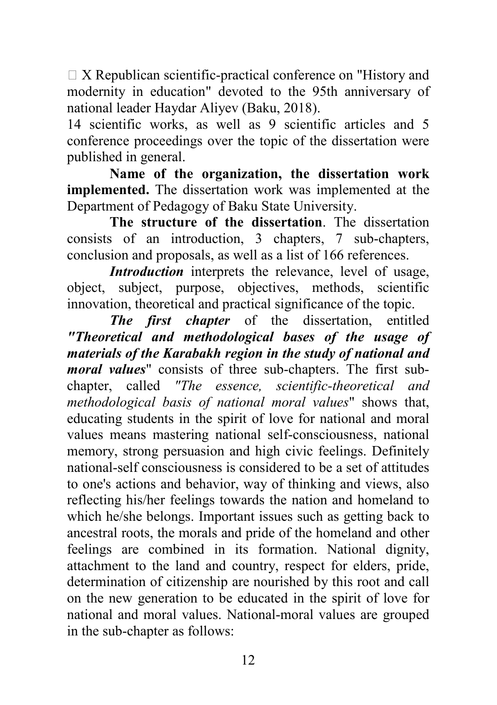$\Box$  X Republican scientific-practical conference on "History and modernity in education" devoted to the 95th anniversary of national leader Haydar Aliyev (Baku, 2018).

14 scientific works, as well as 9 scientific articles and 5 conference proceedings over the topic of the dissertation were published in general.

**Name of the organization, the dissertation work implemented.** The dissertation work was implemented at the Department of Pedagogy of Baku State University.

**The structure of the dissertation**. The dissertation consists of an introduction, 3 chapters, 7 sub-chapters, conclusion and proposals, as well as a list of 166 references.

*Introduction* interprets the relevance, level of usage, object, subject, purpose, objectives, methods, scientific innovation, theoretical and practical significance of the topic.

*The first chapter* of the dissertation, entitled *"Theoretical and methodological bases of the usage of materials of the Karabakh region in the study of national and moral values*" consists of three sub-chapters. The first subchapter, called *"The essence, scientific-theoretical and methodological basis of national moral values*" shows that, educating students in the spirit of love for national and moral values means mastering national self-consciousness, national memory, strong persuasion and high civic feelings. Definitely national-self consciousness is considered to be a set of attitudes to one's actions and behavior, way of thinking and views, also reflecting his/her feelings towards the nation and homeland to which he/she belongs. Important issues such as getting back to ancestral roots, the morals and pride of the homeland and other feelings are combined in its formation. National dignity, attachment to the land and country, respect for elders, pride, determination of citizenship are nourished by this root and call on the new generation to be educated in the spirit of love for national and moral values. National-moral values are grouped in the sub-chapter as follows: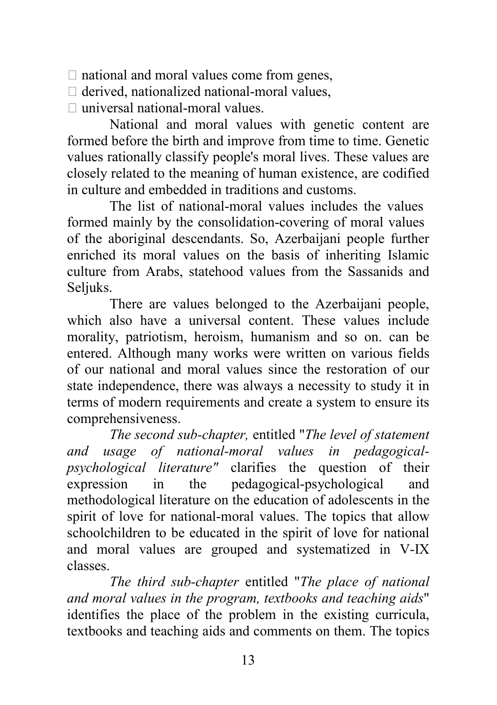$\Box$  national and moral values come from genes,

- $\Box$  derived, nationalized national-moral values,
- $\Box$  universal national-moral values.

National and moral values with genetic content are formed before the birth and improve from time to time. Genetic values rationally classify people's moral lives. These values are closely related to the meaning of human existence, are codified in culture and embedded in traditions and customs.

The list of national-moral values includes the values formed mainly by the consolidation-covering of moral values of the aboriginal descendants. So, Azerbaijani people further enriched its moral values on the basis of inheriting Islamic culture from Arabs, statehood values from the Sassanids and Seljuks.

There are values belonged to the Azerbaijani people, which also have a universal content. These values include morality, patriotism, heroism, humanism and so on. can be entered. Although many works were written on various fields of our national and moral values since the restoration of our state independence, there was always a necessity to study it in terms of modern requirements and create a system to ensure its comprehensiveness.

*The second sub-chapter,* entitled "*The level of statement and usage of national-moral values in pedagogicalpsychological literature"* clarifies the question of their expression in the pedagogical-psychological and methodological literature on the education of adolescents in the spirit of love for national-moral values. The topics that allow schoolchildren to be educated in the spirit of love for national and moral values are grouped and systematized in V-IX classes.

*The third sub-chapter* entitled "*The place of national and moral values in the program, textbooks and teaching aids*" identifies the place of the problem in the existing curricula, textbooks and teaching aids and comments on them. The topics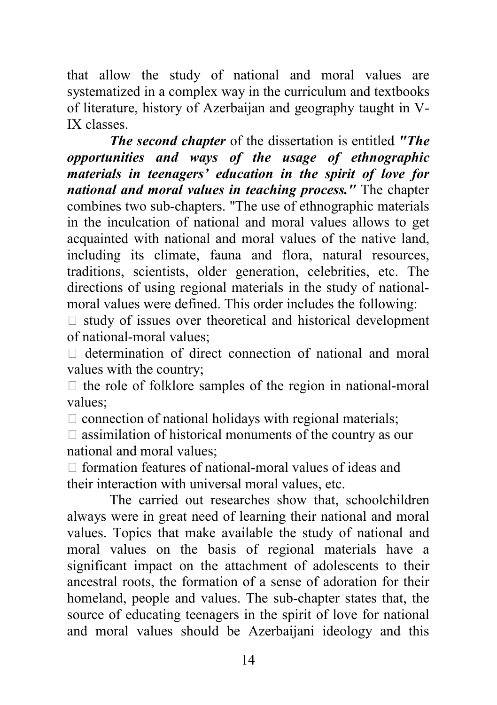that allow the study of national and moral values are systematized in a complex way in the curriculum and textbooks of literature, history of Azerbaijan and geography taught in V-IX classes.

*The second chapter* of the dissertation is entitled *"The opportunities and ways of the usage of ethnographic materials in teenagers' education in the spirit of love for national and moral values in teaching process."* The chapter combines two sub-chapters. "The use of ethnographic materials in the inculcation of national and moral values allows to get acquainted with national and moral values of the native land, including its climate, fauna and flora, natural resources, traditions, scientists, older generation, celebrities, etc. The directions of using regional materials in the study of nationalmoral values were defined. This order includes the following:

 $\Box$  study of issues over theoretical and historical development of national-moral values;

 $\Box$  determination of direct connection of national and moral values with the country;

 $\Box$  the role of folklore samples of the region in national-moral values;

 $\Box$  connection of national holidays with regional materials;

 $\Box$  assimilation of historical monuments of the country as our national and moral values;

 $\Box$  formation features of national-moral values of ideas and their interaction with universal moral values, etc.

The carried out researches show that, schoolchildren always were in great need of learning their national and moral values. Topics that make available the study of national and moral values on the basis of regional materials have a significant impact on the attachment of adolescents to their ancestral roots, the formation of a sense of adoration for their homeland, people and values. The sub-chapter states that, the source of educating teenagers in the spirit of love for national and moral values should be Azerbaijani ideology and this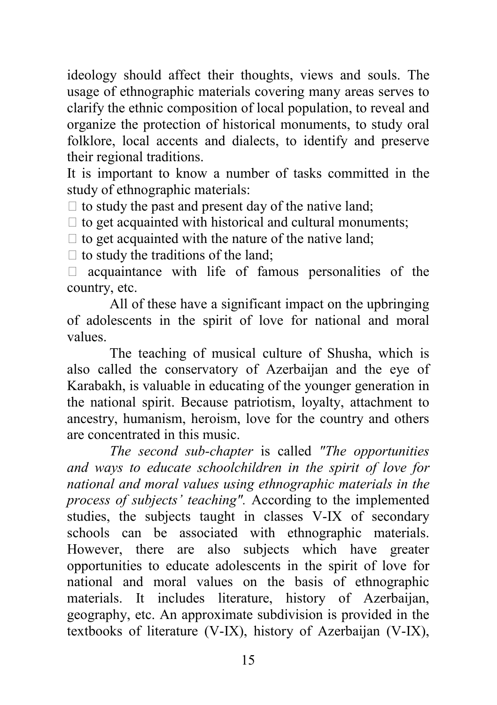ideology should affect their thoughts, views and souls. The usage of ethnographic materials covering many areas serves to clarify the ethnic composition of local population, to reveal and organize the protection of historical monuments, to study oral folklore, local accents and dialects, to identify and preserve their regional traditions.

It is important to know a number of tasks committed in the study of ethnographic materials:

 $\Box$  to study the past and present day of the native land;

 $\Box$  to get acquainted with historical and cultural monuments;

 $\Box$  to get acquainted with the nature of the native land;

 $\Box$  to study the traditions of the land;

 $\Box$  acquaintance with life of famous personalities of the country, etc.

All of these have a significant impact on the upbringing of adolescents in the spirit of love for national and moral values.

The teaching of musical culture of Shusha, which is also called the conservatory of Azerbaijan and the eye of Karabakh, is valuable in educating of the younger generation in the national spirit. Because patriotism, loyalty, attachment to ancestry, humanism, heroism, love for the country and others are concentrated in this music.

*The second sub-chapter* is called *"The opportunities and ways to educate schoolchildren in the spirit of love for national and moral values using ethnographic materials in the process of subjects' teaching".* According to the implemented studies, the subjects taught in classes V-IX of secondary schools can be associated with ethnographic materials. However, there are also subjects which have greater opportunities to educate adolescents in the spirit of love for national and moral values on the basis of ethnographic materials. It includes literature, history of Azerbaijan, geography, etc. An approximate subdivision is provided in the textbooks of literature (V-IX), history of Azerbaijan (V-IX),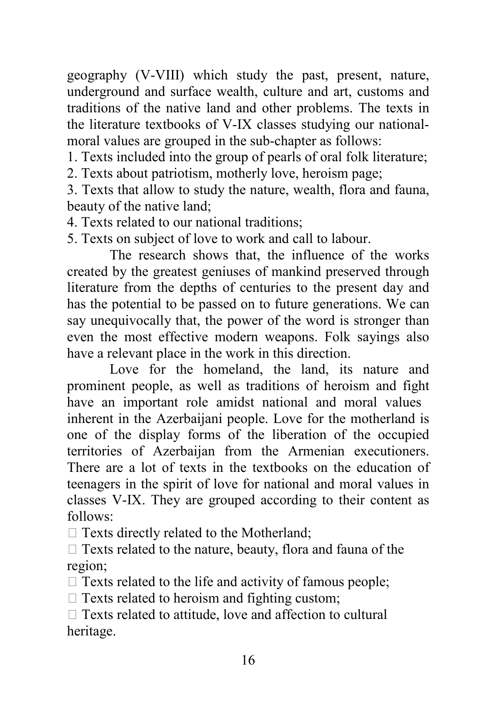geography (V-VIII) which study the past, present, nature, underground and surface wealth, culture and art, customs and traditions of the native land and other problems. The texts in the literature textbooks of V-IX classes studying our nationalmoral values are grouped in the sub-chapter as follows:

1. Texts included into the group of pearls of oral folk literature; 2. Texts about patriotism, motherly love, heroism page;

3. Texts that allow to study the nature, wealth, flora and fauna, beauty of the native land;

4. Texts related to our national traditions;

5. Texts on subject of love to work and call to labour.

 The research shows that, the influence of the works created by the greatest geniuses of mankind preserved through literature from the depths of centuries to the present day and has the potential to be passed on to future generations. We can say unequivocally that, the power of the word is stronger than even the most effective modern weapons. Folk sayings also have a relevant place in the work in this direction.

Love for the homeland, the land, its nature and prominent people, as well as traditions of heroism and fight have an important role amidst national and moral values inherent in the Azerbaijani people. Love for the motherland is one of the display forms of the liberation of the occupied territories of Azerbaijan from the Armenian executioners. There are a lot of texts in the textbooks on the education of teenagers in the spirit of love for national and moral values in classes V-IX. They are grouped according to their content as follows:

 $\Box$  Texts directly related to the Motherland:

 $\Box$  Texts related to the nature, beauty, flora and fauna of the region;

 $\Box$  Texts related to the life and activity of famous people;

 $\Box$  Texts related to heroism and fighting custom;

 $\Box$  Texts related to attitude, love and affection to cultural heritage.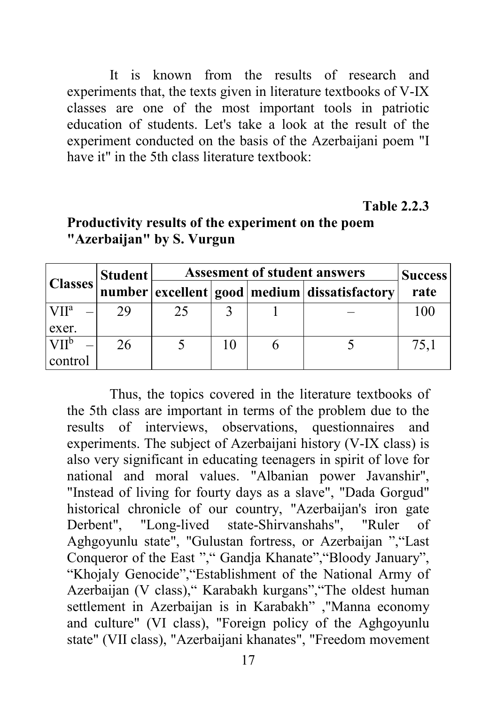It is known from the results of research and experiments that, the texts given in literature textbooks of V-IX classes are one of the most important tools in patriotic education of students. Let's take a look at the result of the experiment conducted on the basis of the Azerbaijani poem "I have it" in the 5th class literature textbook:

#### **Table 2.2.3**

| <b>Classes</b>   | Student | <b>Assesment of student answers</b> | <b>Success</b> |                                                    |      |
|------------------|---------|-------------------------------------|----------------|----------------------------------------------------|------|
|                  |         |                                     |                | number excellent   good   medium   dissatisfactory | rate |
| VII <sup>a</sup> | 29      | 25                                  |                |                                                    | 100  |
| exer.            |         |                                     |                |                                                    |      |
| VII <sup>b</sup> | 26      |                                     |                |                                                    | 75,1 |
| control          |         |                                     |                |                                                    |      |

## **Productivity results of the experiment on the poem "Azerbaijan" by S. Vurgun**

Thus, the topics covered in the literature textbooks of the 5th class are important in terms of the problem due to the results of interviews, observations, questionnaires and experiments. The subject of Azerbaijani history (V-IX class) is also very significant in educating teenagers in spirit of love for national and moral values. "Albanian power Javanshir", "Instead of living for fourty days as a slave", "Dada Gorgud" historical chronicle of our country, "Azerbaijan's iron gate Derbent", "Long-lived state-Shirvanshahs", "Ruler of Aghgoyunlu state", "Gulustan fortress, or Azerbaijan ","Last Conqueror of the East "," Gandja Khanate","Bloody January", "Khojaly Genocide","Establishment of the National Army of Azerbaijan (V class)," Karabakh kurgans","The oldest human settlement in Azerbaijan is in Karabakh" ,"Manna economy and culture" (VI class), "Foreign policy of the Aghgoyunlu state" (VII class), "Azerbaijani khanates", "Freedom movement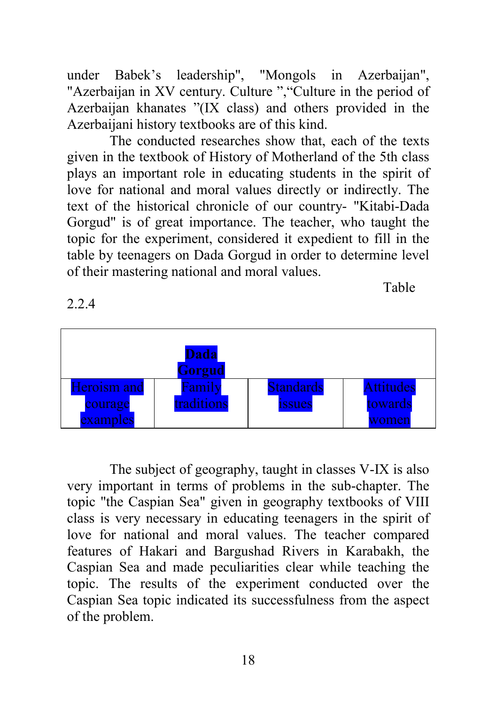under Babek's leadership", "Mongols in Azerbaijan", "Azerbaijan in XV century. Culture ", "Culture in the period of Azerbaijan khanates "(IX class) and others provided in the Azerbaijani history textbooks are of this kind.

The conducted researches show that, each of the texts given in the textbook of History of Motherland of the 5th class plays an important role in educating students in the spirit of love for national and moral values directly or indirectly. The text of the historical chronicle of our country- "Kitabi-Dada Gorgud" is of great importance. The teacher, who taught the topic for the experiment, considered it expedient to fill in the table by teenagers on Dada Gorgud in order to determine level of their mastering national and moral values.

Table **Table** 

| <b>Dada</b><br>Gorgud  |                      |                                   |                      |  |  |  |
|------------------------|----------------------|-----------------------------------|----------------------|--|--|--|
| Heroism and<br>courage | Family<br>traditions | <b>Standards</b><br><b>1SSUES</b> | Attitudes<br>towards |  |  |  |
| examples               |                      |                                   | men                  |  |  |  |

The subject of geography, taught in classes V-IX is also very important in terms of problems in the sub-chapter. The topic "the Caspian Sea" given in geography textbooks of VIII class is very necessary in educating teenagers in the spirit of love for national and moral values. The teacher compared features of Hakari and Bargushad Rivers in Karabakh, the Caspian Sea and made peculiarities clear while teaching the topic. The results of the experiment conducted over the Caspian Sea topic indicated its successfulness from the aspect of the problem.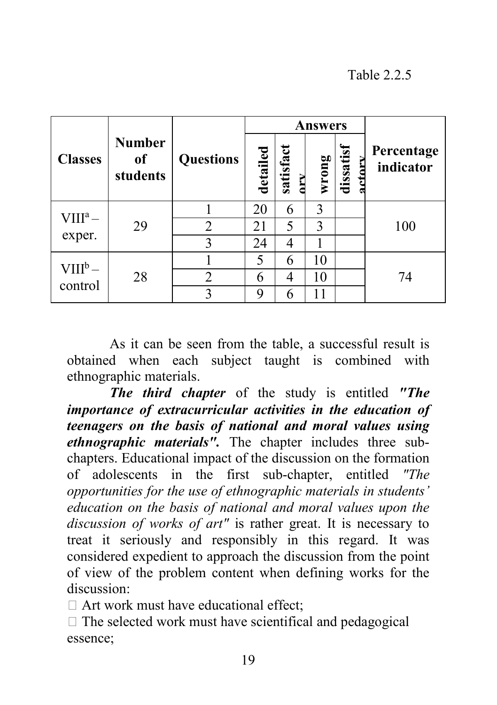## Table 2.2.5

|                          |                                 |                  | <b>Answers</b> |           |       |           |                         |  |
|--------------------------|---------------------------------|------------------|----------------|-----------|-------|-----------|-------------------------|--|
| <b>Classes</b>           | <b>Number</b><br>of<br>students | <b>Questions</b> | detailed       | satisfact | wrong | dissatisf | Percentage<br>indicator |  |
| $VIII^a -$<br>exper.     | 29                              |                  | 20             | 6         | 3     |           |                         |  |
|                          |                                 | 2                | 21             | 5         | 3     |           | 100                     |  |
|                          |                                 | 3                | 24             | 4         |       |           |                         |  |
| $\rm VIII^b-$<br>control | 28                              |                  | 5              | 6         | 10    |           |                         |  |
|                          |                                 | $\overline{2}$   | 6              | 4         | 10    |           | 74                      |  |
|                          |                                 |                  | 9              | 6         |       |           |                         |  |

As it can be seen from the table, a successful result is obtained when each subject taught is combined with ethnographic materials.

*The third chapter* of the study is entitled *"The importance of extracurricular activities in the education of teenagers on the basis of national and moral values using ethnographic materials".* The chapter includes three subchapters. Educational impact of the discussion on the formation of adolescents in the first sub-chapter, entitled *"The opportunities for the use of ethnographic materials in students' education on the basis of national and moral values upon the discussion of works of art"* is rather great. It is necessary to treat it seriously and responsibly in this regard. It was considered expedient to approach the discussion from the point of view of the problem content when defining works for the discussion:

 $\Box$  Art work must have educational effect:

 $\Box$  The selected work must have scientifical and pedagogical essence;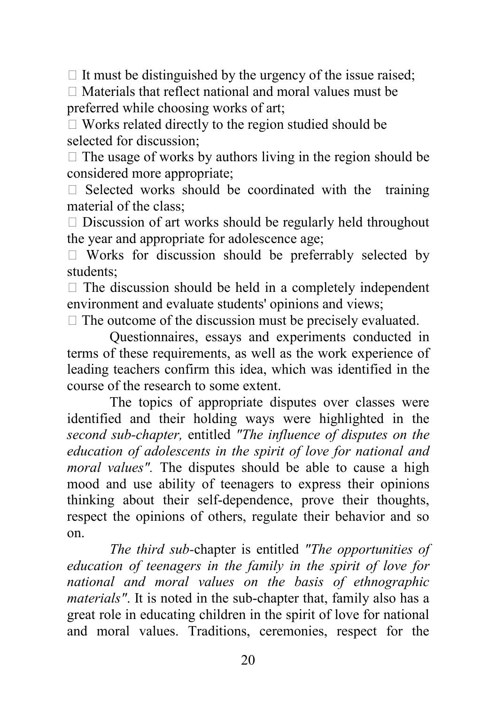$\Box$  It must be distinguished by the urgency of the issue raised;

 $\Box$  Materials that reflect national and moral values must be preferred while choosing works of art;

 Works related directly to the region studied should be selected for discussion;

 $\Box$  The usage of works by authors living in the region should be considered more appropriate;

 $\Box$  Selected works should be coordinated with the training material of the class;

 $\Box$  Discussion of art works should be regularly held throughout the year and appropriate for adolescence age;

 $\Box$  Works for discussion should be preferrably selected by students;

 $\Box$  The discussion should be held in a completely independent environment and evaluate students' opinions and views;

 $\Box$  The outcome of the discussion must be precisely evaluated.

Questionnaires, essays and experiments conducted in terms of these requirements, as well as the work experience of leading teachers confirm this idea, which was identified in the course of the research to some extent.

The topics of appropriate disputes over classes were identified and their holding ways were highlighted in the *second sub-chapter,* entitled *"The influence of disputes on the education of adolescents in the spirit of love for national and moral values".* The disputes should be able to cause a high mood and use ability of teenagers to express their opinions thinking about their self-dependence, prove their thoughts, respect the opinions of others, regulate their behavior and so on.

*The third sub-*chapter is entitled *"The opportunities of education of teenagers in the family in the spirit of love for national and moral values on the basis of ethnographic materials"*. It is noted in the sub-chapter that, family also has a great role in educating children in the spirit of love for national and moral values. Traditions, ceremonies, respect for the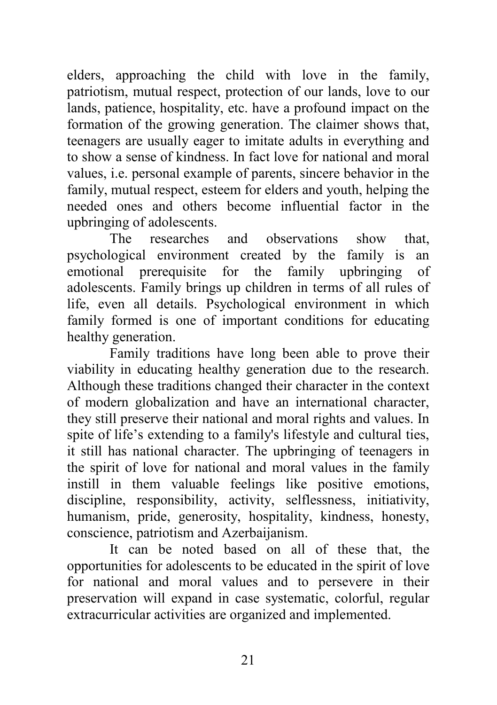elders, approaching the child with love in the family, patriotism, mutual respect, protection of our lands, love to our lands, patience, hospitality, etc. have a profound impact on the formation of the growing generation. The claimer shows that, teenagers are usually eager to imitate adults in everything and to show a sense of kindness. In fact love for national and moral values, i.e. personal example of parents, sincere behavior in the family, mutual respect, esteem for elders and youth, helping the needed ones and others become influential factor in the upbringing of adolescents.

The researches and observations show that, psychological environment created by the family is an emotional prerequisite for the family upbringing of adolescents. Family brings up children in terms of all rules of life, even all details. Psychological environment in which family formed is one of important conditions for educating healthy generation.

Family traditions have long been able to prove their viability in educating healthy generation due to the research. Although these traditions changed their character in the context of modern globalization and have an international character, they still preserve their national and moral rights and values. In spite of life's extending to a family's lifestyle and cultural ties, it still has national character. The upbringing of teenagers in the spirit of love for national and moral values in the family instill in them valuable feelings like positive emotions, discipline, responsibility, activity, selflessness, initiativity, humanism, pride, generosity, hospitality, kindness, honesty, conscience, patriotism and Azerbaijanism.

It can be noted based on all of these that, the opportunities for adolescents to be educated in the spirit of love for national and moral values and to persevere in their preservation will expand in case systematic, colorful, regular extracurricular activities are organized and implemented.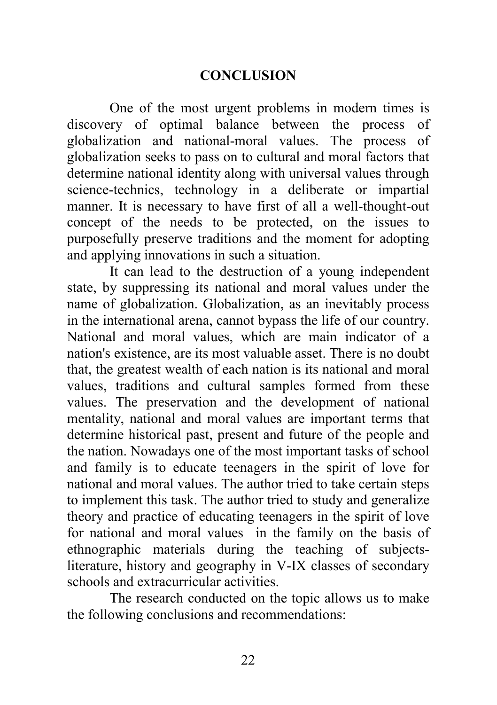### **CONCLUSION**

One of the most urgent problems in modern times is discovery of optimal balance between the process of globalization and national-moral values. The process of globalization seeks to pass on to cultural and moral factors that determine national identity along with universal values through science-technics, technology in a deliberate or impartial manner. It is necessary to have first of all a well-thought-out concept of the needs to be protected, on the issues to purposefully preserve traditions and the moment for adopting and applying innovations in such a situation.

It can lead to the destruction of a young independent state, by suppressing its national and moral values under the name of globalization. Globalization, as an inevitably process in the international arena, cannot bypass the life of our country. National and moral values, which are main indicator of a nation's existence, are its most valuable asset. There is no doubt that, the greatest wealth of each nation is its national and moral values, traditions and cultural samples formed from these values. The preservation and the development of national mentality, national and moral values are important terms that determine historical past, present and future of the people and the nation. Nowadays one of the most important tasks of school and family is to educate teenagers in the spirit of love for national and moral values. The author tried to take certain steps to implement this task. The author tried to study and generalize theory and practice of educating teenagers in the spirit of love for national and moral values in the family on the basis of ethnographic materials during the teaching of subjectsliterature, history and geography in V-IX classes of secondary schools and extracurricular activities.

The research conducted on the topic allows us to make the following conclusions and recommendations: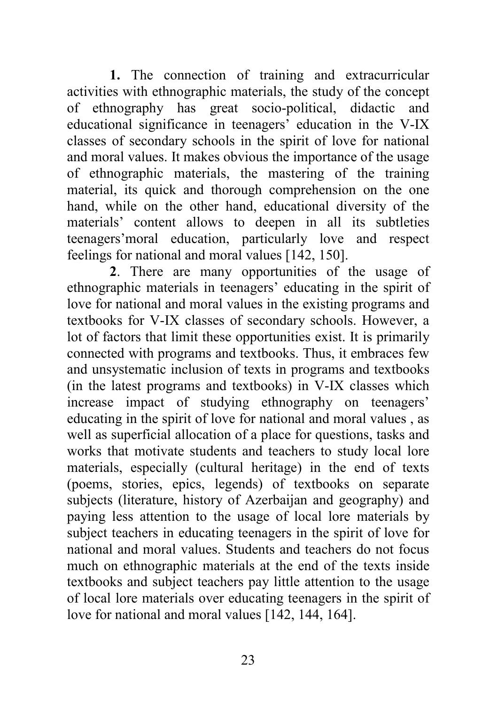**1.** The connection of training and extracurricular activities with ethnographic materials, the study of the concept of ethnography has great socio-political, didactic and educational significance in teenagers' education in the V-IX classes of secondary schools in the spirit of love for national and moral values. It makes obvious the importance of the usage of ethnographic materials, the mastering of the training material, its quick and thorough comprehension on the one hand, while on the other hand, educational diversity of the materials' content allows to deepen in all its subtleties teenagers'moral education, particularly love and respect feelings for national and moral values [142, 150].

**2**. There are many opportunities of the usage of ethnographic materials in teenagers' educating in the spirit of love for national and moral values in the existing programs and textbooks for V-IX classes of secondary schools. However, a lot of factors that limit these opportunities exist. It is primarily connected with programs and textbooks. Thus, it embraces few and unsystematic inclusion of texts in programs and textbooks (in the latest programs and textbooks) in V-IX classes which increase impact of studying ethnography on teenagers' educating in the spirit of love for national and moral values , as well as superficial allocation of a place for questions, tasks and works that motivate students and teachers to study local lore materials, especially (cultural heritage) in the end of texts (poems, stories, epics, legends) of textbooks on separate subjects (literature, history of Azerbaijan and geography) and paying less attention to the usage of local lore materials by subject teachers in educating teenagers in the spirit of love for national and moral values. Students and teachers do not focus much on ethnographic materials at the end of the texts inside textbooks and subject teachers pay little attention to the usage of local lore materials over educating teenagers in the spirit of love for national and moral values [142, 144, 164].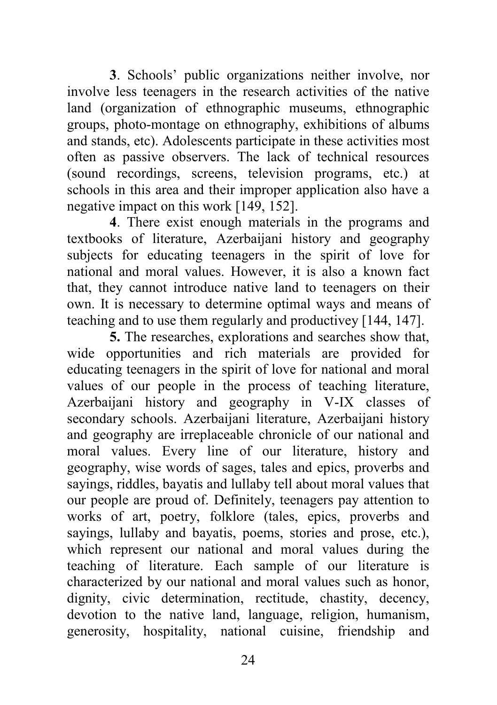**3**. Schools' public organizations neither involve, nor involve less teenagers in the research activities of the native land (organization of ethnographic museums, ethnographic groups, photo-montage on ethnography, exhibitions of albums and stands, etc). Adolescents participate in these activities most often as passive observers. The lack of technical resources (sound recordings, screens, television programs, etc.) at schools in this area and their improper application also have a negative impact on this work [149, 152].

**4**. There exist enough materials in the programs and textbooks of literature, Azerbaijani history and geography subjects for educating teenagers in the spirit of love for national and moral values. However, it is also a known fact that, they cannot introduce native land to teenagers on their own. It is necessary to determine optimal ways and means of teaching and to use them regularly and productivey [144, 147].

**5.** The researches, explorations and searches show that, wide opportunities and rich materials are provided for educating teenagers in the spirit of love for national and moral values of our people in the process of teaching literature, Azerbaijani history and geography in V-IX classes of secondary schools. Azerbaijani literature, Azerbaijani history and geography are irreplaceable chronicle of our national and moral values. Every line of our literature, history and geography, wise words of sages, tales and epics, proverbs and sayings, riddles, bayatis and lullaby tell about moral values that our people are proud of. Definitely, teenagers pay attention to works of art, poetry, folklore (tales, epics, proverbs and sayings, lullaby and bayatis, poems, stories and prose, etc.), which represent our national and moral values during the teaching of literature. Each sample of our literature is characterized by our national and moral values such as honor, dignity, civic determination, rectitude, chastity, decency, devotion to the native land, language, religion, humanism, generosity, hospitality, national cuisine, friendship and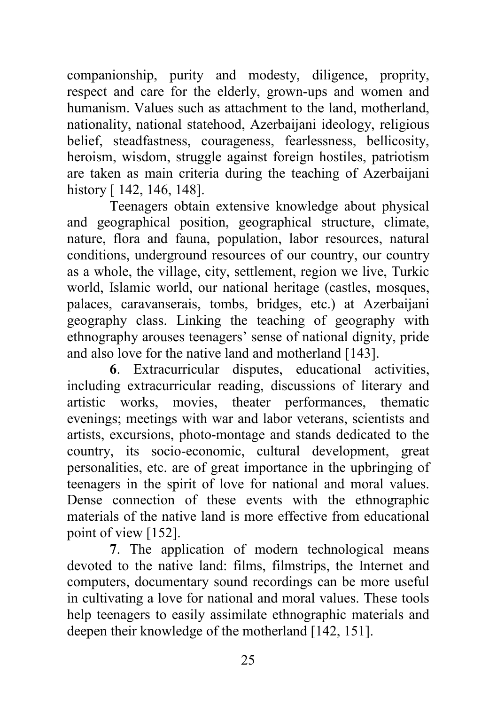companionship, purity and modesty, diligence, proprity, respect and care for the elderly, grown-ups and women and humanism. Values such as attachment to the land, motherland, nationality, national statehood, Azerbaijani ideology, religious belief, steadfastness, courageness, fearlessness, bellicosity, heroism, wisdom, struggle against foreign hostiles, patriotism are taken as main criteria during the teaching of Azerbaijani history [ 142, 146, 148].

Teenagers obtain extensive knowledge about physical and geographical position, geographical structure, climate, nature, flora and fauna, population, labor resources, natural conditions, underground resources of our country, our country as a whole, the village, city, settlement, region we live, Turkic world, Islamic world, our national heritage (castles, mosques, palaces, caravanserais, tombs, bridges, etc.) at Azerbaijani geography class. Linking the teaching of geography with ethnography arouses teenagers' sense of national dignity, pride and also love for the native land and motherland [143].

**6**. Extracurricular disputes, educational activities, including extracurricular reading, discussions of literary and artistic works, movies, theater performances, thematic evenings; meetings with war and labor veterans, scientists and artists, excursions, photo-montage and stands dedicated to the country, its socio-economic, cultural development, great personalities, etc. are of great importance in the upbringing of teenagers in the spirit of love for national and moral values. Dense connection of these events with the ethnographic materials of the native land is more effective from educational point of view [152].

**7**. The application of modern technological means devoted to the native land: films, filmstrips, the Internet and computers, documentary sound recordings can be more useful in cultivating a love for national and moral values. These tools help teenagers to easily assimilate ethnographic materials and deepen their knowledge of the motherland [142, 151].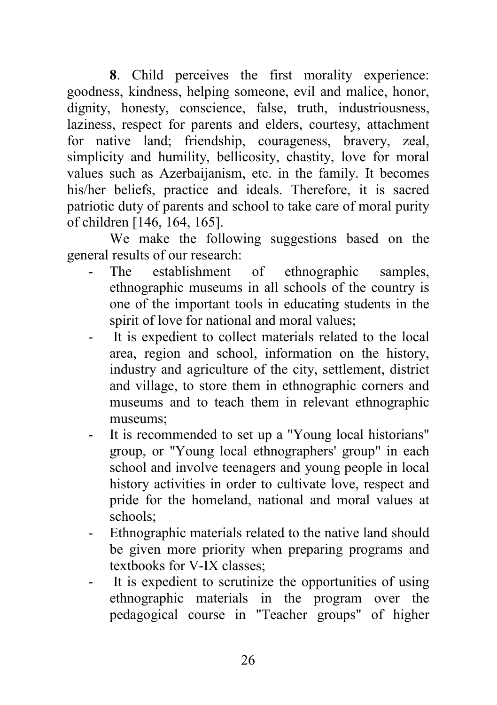**8**. Child perceives the first morality experience: goodness, kindness, helping someone, evil and malice, honor, dignity, honesty, conscience, false, truth, industriousness, laziness, respect for parents and elders, courtesy, attachment for native land; friendship, courageness, bravery, zeal, simplicity and humility, bellicosity, chastity, love for moral values such as Azerbaijanism, etc. in the family. It becomes his/her beliefs, practice and ideals. Therefore, it is sacred patriotic duty of parents and school to take care of moral purity of children [146, 164, 165].

We make the following suggestions based on the general results of our research:

- The establishment of ethnographic samples, ethnographic museums in all schools of the country is one of the important tools in educating students in the spirit of love for national and moral values;
- It is expedient to collect materials related to the local area, region and school, information on the history, industry and agriculture of the city, settlement, district and village, to store them in ethnographic corners and museums and to teach them in relevant ethnographic museums;
- It is recommended to set up a "Young local historians" group, or "Young local ethnographers' group" in each school and involve teenagers and young people in local history activities in order to cultivate love, respect and pride for the homeland, national and moral values at schools;
- Ethnographic materials related to the native land should be given more priority when preparing programs and textbooks for V-IX classes;
- It is expedient to scrutinize the opportunities of using ethnographic materials in the program over the pedagogical course in "Teacher groups" of higher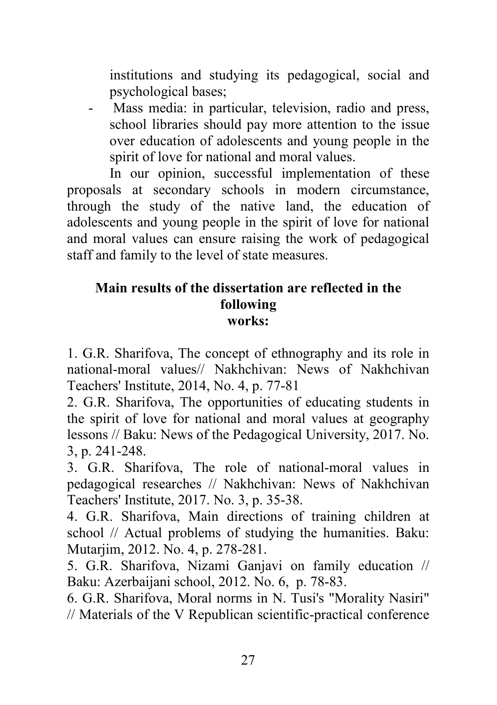institutions and studying its pedagogical, social and psychological bases;

- Mass media: in particular, television, radio and press, school libraries should pay more attention to the issue over education of adolescents and young people in the spirit of love for national and moral values.

In our opinion, successful implementation of these proposals at secondary schools in modern circumstance, through the study of the native land, the education of adolescents and young people in the spirit of love for national and moral values can ensure raising the work of pedagogical staff and family to the level of state measures.

### **Main results of the dissertation are reflected in the following works:**

1. G.R. Sharifova, The concept of ethnography and its role in national-moral values// Nakhchivan: News of Nakhchivan Teachers' Institute, 2014, No. 4, p. 77-81

2. G.R. Sharifova, The opportunities of educating students in the spirit of love for national and moral values at geography lessons // Baku: News of the Pedagogical University, 2017. No. 3, p. 241-248.

3. G.R. Sharifova, The role of national-moral values in pedagogical researches // Nakhchivan: News of Nakhchivan Teachers' Institute, 2017. No. 3, p. 35-38.

4. G.R. Sharifova, Main directions of training children at school // Actual problems of studying the humanities. Baku: Mutarjim, 2012. No. 4, p. 278-281.

5. G.R. Sharifova, Nizami Ganjavi on family education // Baku: Azerbaijani school, 2012. No. 6, p. 78-83.

6. G.R. Sharifova, Moral norms in N. Tusi's "Morality Nasiri" // Materials of the V Republican scientific-practical conference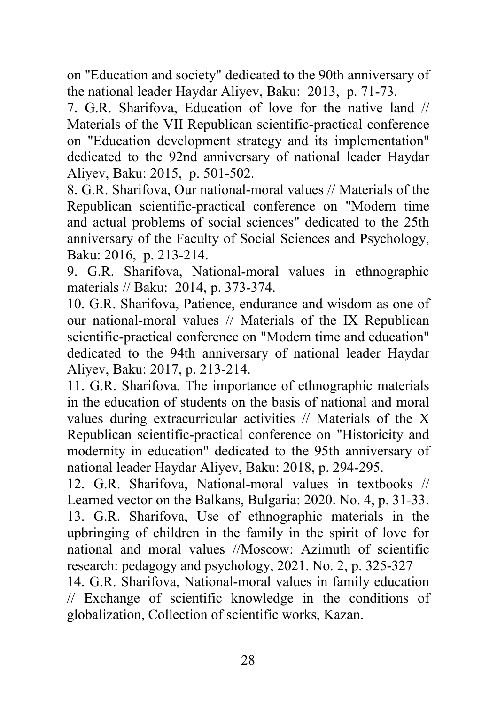on "Education and society" dedicated to the 90th anniversary of the national leader Haydar Aliyev, Baku: 2013, p. 71-73.

7. G.R. Sharifova, Education of love for the native land // Materials of the VII Republican scientific-practical conference on "Education development strategy and its implementation" dedicated to the 92nd anniversary of national leader Haydar Aliyev, Baku: 2015, p. 501-502.

8. G.R. Sharifova, Our national-moral values // Materials of the Republican scientific-practical conference on "Modern time and actual problems of social sciences" dedicated to the 25th anniversary of the Faculty of Social Sciences and Psychology, Baku: 2016, p. 213-214.

9. G.R. Sharifova, National-moral values in ethnographic materials // Baku: 2014, p. 373-374.

10. G.R. Sharifova, Patience, endurance and wisdom as one of our national-moral values // Materials of the IX Republican scientific-practical conference on "Modern time and education" dedicated to the 94th anniversary of national leader Haydar Aliyev, Baku: 2017, p. 213-214.

11. G.R. Sharifova, The importance of ethnographic materials in the education of students on the basis of national and moral values during extracurricular activities // Materials of the X Republican scientific-practical conference on "Historicity and modernity in education" dedicated to the 95th anniversary of national leader Haydar Aliyev, Baku: 2018, p. 294-295.

12. G.R. Sharifova, National-moral values in textbooks // Learned vector on the Balkans, Bulgaria: 2020. No. 4, p. 31-33. 13. G.R. Sharifova, Use of ethnographic materials in the upbringing of children in the family in the spirit of love for national and moral values //Moscow: Azimuth of scientific research: pedagogy and psychology, 2021. No. 2, p. 325-327

14. G.R. Sharifova, National-moral values in family education // Exchange of scientific knowledge in the conditions of globalization, Collection of scientific works, Kazan.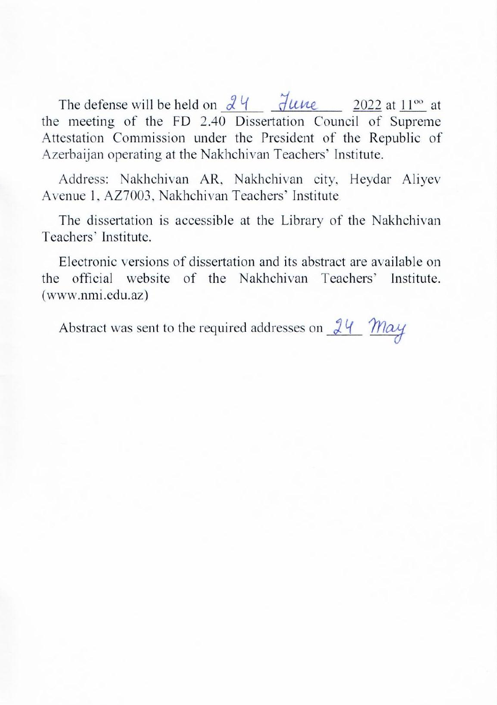$11.1<sub>1</sub><sub>0</sub><sup>1</sup><sub>1</sub><sub>2</sub><sub>3</sub><sub>4</sub><sup>1</sup><sub>4</sub> <sup>1</sup><sub>7</sub> <sup>1</sup><sub>8</sub>$ Superior at the Superior of the Commission of the President of the President of the President of the President of the President of the Commission of the Commission of the Commission of the Commission of the Commission of the meeting of the FD 2.40 Dissertation Council of Supreme Attestation Commission under the President of the Republic of Azerbaijan operating at the Nakhchivan Teachers' Institute. Address: Nakhchivan AR, Nakhchivan city, Heydar Aliyev

ddress: Nakhchivan AR, Nakhchivan city, He The dissertation is accessible at the Library of the

The dissertation is accessible at the Library of the Nakhchivan<br>Teachers' Institute.

Electronic versions of dissertation and its abstract are available on the official website of the Nakhchivan Teachers' Institute.<br>(www.nmi.edu.az)

Abstract was sent to the required addresses on  $24$  May